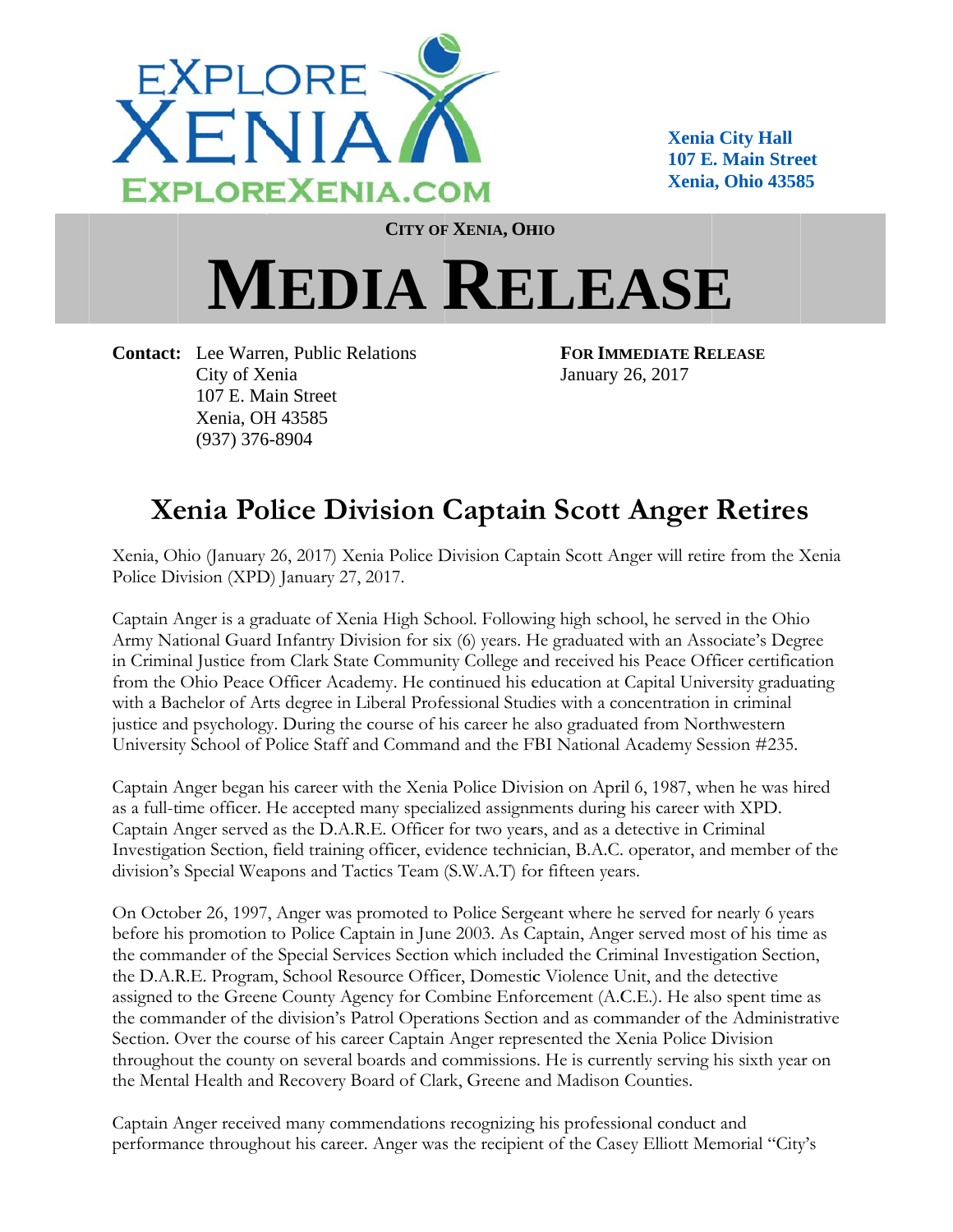

**Xenia City Hall 107 E. Main Street** Xenia. Ohio 43585

**CITY OF XENIA, OHIO** 

## **MEDIA RELEASE**

**Contact:** Lee Warren, Public Relations City of Xenia 107 E. Main Street Xenia, OH 43585  $(937)$  376-8904

**FOR IMMEDIATE RELEASE** January 26, 2017

## **Xenia Police Division Captain Scott Anger Retires**

Xenia, Ohio (January 26, 2017) Xenia Police Division Captain Scott Anger will retire from the Xenia Police Division (XPD) January 27, 2017.

Captain Anger is a graduate of Xenia High School. Following high school, he served in the Ohio Army National Guard Infantry Division for six (6) years. He graduated with an Associate's Degree in Criminal Justice from Clark State Community College and received his Peace Officer certification from the Ohio Peace Officer Academy. He continued his education at Capital University graduating with a Bachelor of Arts degree in Liberal Professional Studies with a concentration in criminal justice and psychology. During the course of his career he also graduated from Northwestern University School of Police Staff and Command and the FBI National Academy Session #235.

Captain Anger began his career with the Xenia Police Division on April 6, 1987, when he was hired as a full-time officer. He accepted many specialized assignments during his career with XPD. Captain Anger served as the D.A.R.E. Officer for two years, and as a detective in Criminal Investigation Section, field training officer, evidence technician, B.A.C. operator, and member of the division's Special Weapons and Tactics Team (S.W.A.T) for fifteen years.

On October 26, 1997, Anger was promoted to Police Sergeant where he served for nearly 6 years before his promotion to Police Captain in June 2003. As Captain, Anger served most of his time as the commander of the Special Services Section which included the Criminal Investigation Section, the D.A.R.E. Program, School Resource Officer, Domestic Violence Unit, and the detective assigned to the Greene County Agency for Combine Enforcement (A.C.E.). He also spent time as the commander of the division's Patrol Operations Section and as commander of the Administrative Section. Over the course of his career Captain Anger represented the Xenia Police Division throughout the county on several boards and commissions. He is currently serving his sixth year on the Mental Health and Recovery Board of Clark, Greene and Madison Counties.

Captain Anger received many commendations recognizing his professional conduct and performance throughout his career. Anger was the recipient of the Casey Elliott Memorial "City's